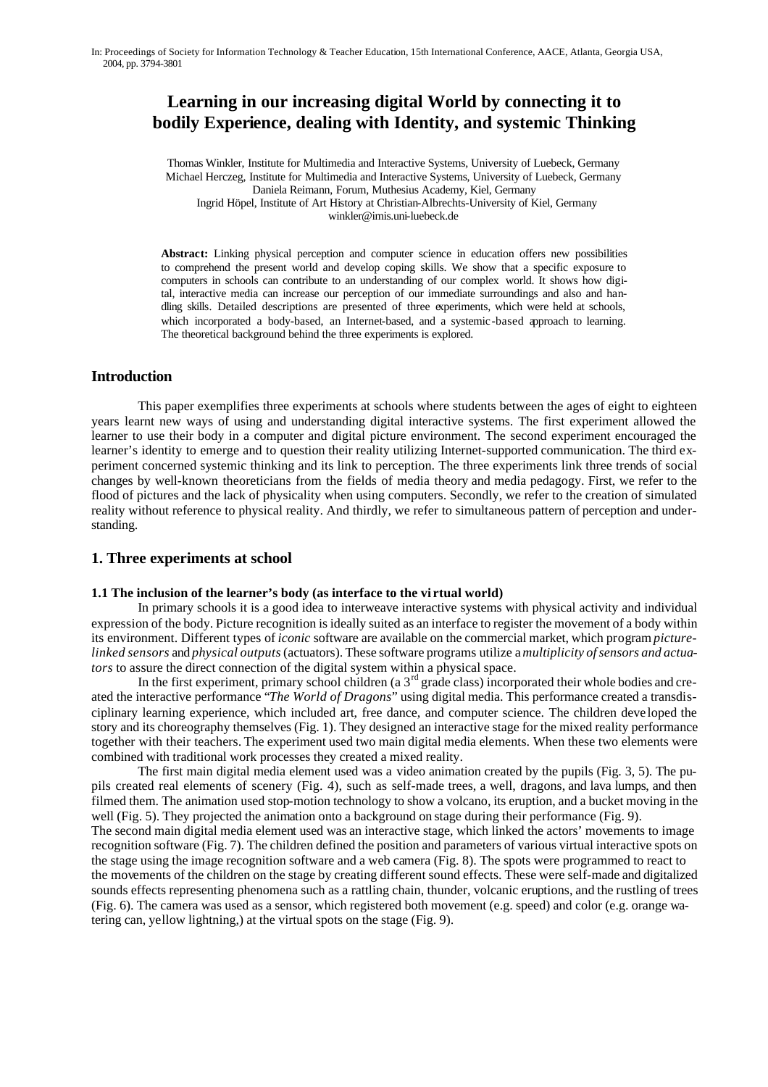# **Learning in our increasing digital World by connecting it to bodily Experience, dealing with Identity, and systemic Thinking**

Thomas Winkler, Institute for Multimedia and Interactive Systems, University of Luebeck, Germany Michael Herczeg, Institute for Multimedia and Interactive Systems, University of Luebeck, Germany Daniela Reimann, Forum, Muthesius Academy, Kiel, Germany Ingrid Höpel, Institute of Art History at Christian-Albrechts-University of Kiel, Germany winkler@imis.uni-luebeck.de

**Abstract:** Linking physical perception and computer science in education offers new possibilities to comprehend the present world and develop coping skills. We show that a specific exposure to computers in schools can contribute to an understanding of our complex world. It shows how digital, interactive media can increase our perception of our immediate surroundings and also and handling skills. Detailed descriptions are presented of three experiments, which were held at schools, which incorporated a body-based, an Internet-based, and a systemic -based approach to learning. The theoretical background behind the three experiments is explored.

## **Introduction**

This paper exemplifies three experiments at schools where students between the ages of eight to eighteen years learnt new ways of using and understanding digital interactive systems. The first experiment allowed the learner to use their body in a computer and digital picture environment. The second experiment encouraged the learner's identity to emerge and to question their reality utilizing Internet-supported communication. The third experiment concerned systemic thinking and its link to perception. The three experiments link three trends of social changes by well-known theoreticians from the fields of media theory and media pedagogy. First, we refer to the flood of pictures and the lack of physicality when using computers. Secondly, we refer to the creation of simulated reality without reference to physical reality. And thirdly, we refer to simultaneous pattern of perception and understanding.

## **1. Three experiments at school**

#### **1.1 The inclusion of the learner's body (as interface to the vi rtual world)**

In primary schools it is a good idea to interweave interactive systems with physical activity and individual expression of the body. Picture recognition is ideally suited as an interface to register the movement of a body within its environment. Different types of *iconic* software are available on the commercial market, which program *picturelinked sensors* and *physical outputs* (actuators). These software programs utilize a *multiplicity of sensors and actuators* to assure the direct connection of the digital system within a physical space.

In the first experiment, primary school children (a  $3<sup>rd</sup>$  grade class) incorporated their whole bodies and created the interactive performance "*The World of Dragons*" using digital media. This performance created a transdisciplinary learning experience, which included art, free dance, and computer science. The children deve loped the story and its choreography themselves (Fig. 1). They designed an interactive stage for the mixed reality performance together with their teachers. The experiment used two main digital media elements. When these two elements were combined with traditional work processes they created a mixed reality.

The first main digital media element used was a video animation created by the pupils (Fig. 3, 5). The pupils created real elements of scenery (Fig. 4), such as self-made trees, a well, dragons, and lava lumps, and then filmed them. The animation used stop-motion technology to show a volcano, its eruption, and a bucket moving in the well (Fig. 5). They projected the animation onto a background on stage during their performance (Fig. 9). The second main digital media element used was an interactive stage, which linked the actors' movements to image recognition software (Fig. 7). The children defined the position and parameters of various virtual interactive spots on the stage using the image recognition software and a web camera (Fig. 8). The spots were programmed to react to the movements of the children on the stage by creating different sound effects. These were self-made and digitalized sounds effects representing phenomena such as a rattling chain, thunder, volcanic eruptions, and the rustling of trees (Fig. 6). The camera was used as a sensor, which registered both movement (e.g. speed) and color (e.g. orange watering can, yellow lightning,) at the virtual spots on the stage (Fig. 9).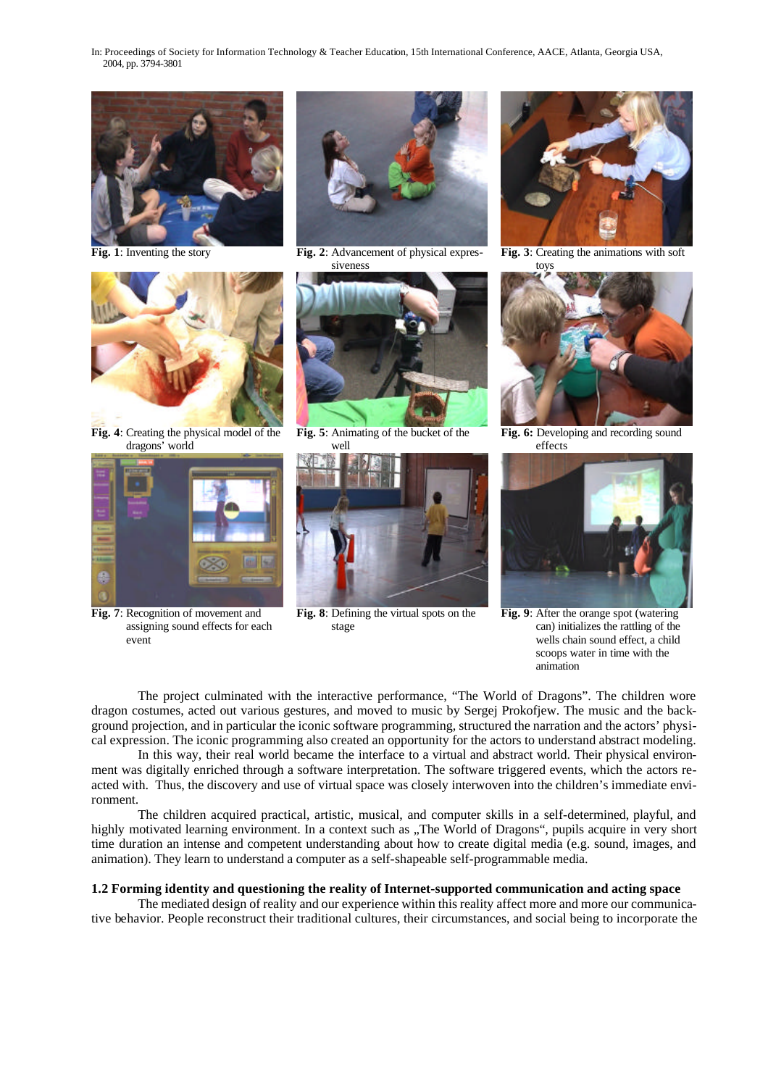



**Fig. 4**: Creating the physical model of the dragons' world



**Fig. 7**: Recognition of movement and assigning sound effects for each event



**Fig. 1**: Inventing the story **Fig. 2**: Advancement of physical expressiveness



**Fig. 5**: Animating of the bucket of the well



**Fig. 8**: Defining the virtual spots on the stage



**Fig. 3**: Creating the animations with soft toys



**Fig. 6:** Developing and recording sound effects



**Fig. 9**: After the orange spot (watering can) initializes the rattling of the wells chain sound effect, a child scoops water in time with the animation

The project culminated with the interactive performance, "The World of Dragons". The children wore dragon costumes, acted out various gestures, and moved to music by Sergej Prokofjew. The music and the background projection, and in particular the iconic software programming, structured the narration and the actors' physical expression. The iconic programming also created an opportunity for the actors to understand abstract modeling.

In this way, their real world became the interface to a virtual and abstract world. Their physical environment was digitally enriched through a software interpretation. The software triggered events, which the actors reacted with. Thus, the discovery and use of virtual space was closely interwoven into the children's immediate environment.

The children acquired practical, artistic, musical, and computer skills in a self-determined, playful, and highly motivated learning environment. In a context such as ...The World of Dragons", pupils acquire in very short time duration an intense and competent understanding about how to create digital media (e.g. sound, images, and animation). They learn to understand a computer as a self-shapeable self-programmable media.

#### **1.2 Forming identity and questioning the reality of Internet-supported communication and acting space**

The mediated design of reality and our experience within this reality affect more and more our communicative behavior. People reconstruct their traditional cultures, their circumstances, and social being to incorporate the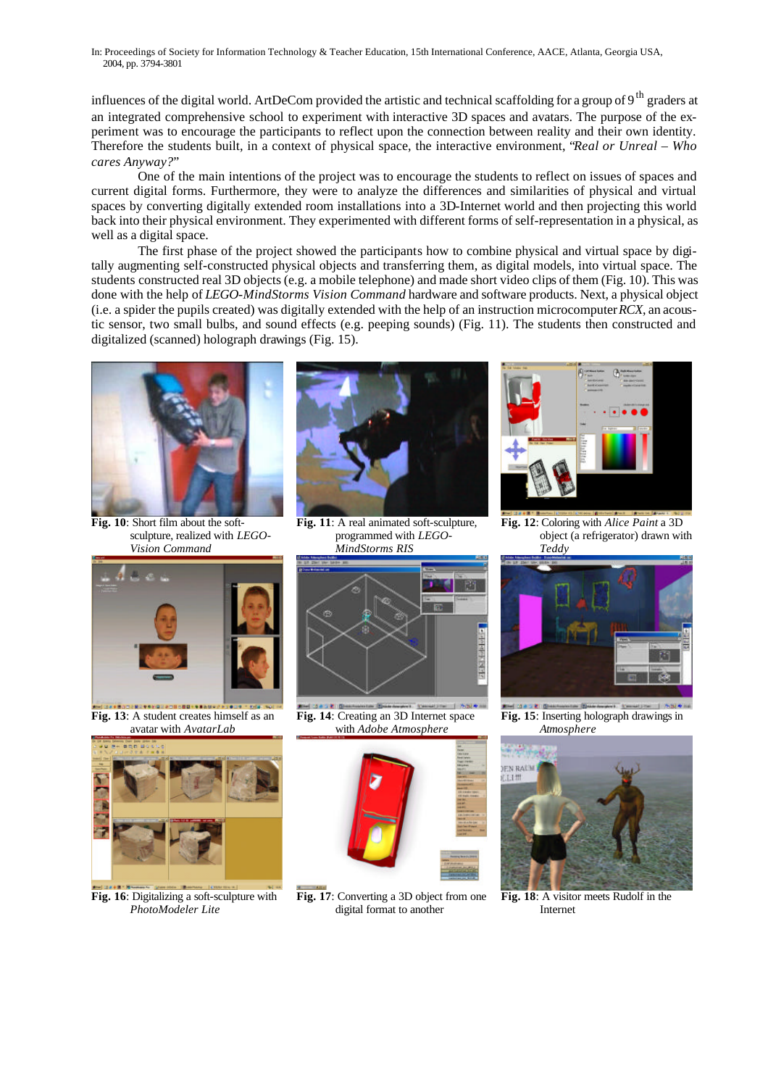influences of the digital world. ArtDeCom provided the artistic and technical scaffolding for a group of 9<sup>th</sup> graders at an integrated comprehensive school to experiment with interactive 3D spaces and avatars. The purpose of the experiment was to encourage the participants to reflect upon the connection between reality and their own identity. Therefore the students built, in a context of physical space, the interactive environment, "*Real or Unreal – Who cares Anyway?*"

One of the main intentions of the project was to encourage the students to reflect on issues of spaces and current digital forms. Furthermore, they were to analyze the differences and similarities of physical and virtual spaces by converting digitally extended room installations into a 3D-Internet world and then projecting this world back into their physical environment. They experimented with different forms of self-representation in a physical, as well as a digital space.

The first phase of the project showed the participants how to combine physical and virtual space by digitally augmenting self-constructed physical objects and transferring them, as digital models, into virtual space. The students constructed real 3D objects (e.g. a mobile telephone) and made short video clips of them (Fig. 10). This was done with the help of *LEGO-MindStorms Vision Command* hardware and software products. Next, a physical object (i.e. a spider the pupils created) was digitally extended with the help of an instruction microcomputer *RCX*, an acoustic sensor, two small bulbs, and sound effects (e.g. peeping sounds) (Fig. 11). The students then constructed and digitalized (scanned) holograph drawings (Fig. 15).



**Fig. 10**: Short film about the softsculpture, realized with *LEGO-Vision Command* 



**Fig. 11**: A real animated soft-sculpture, programmed with *LEGO-MindStorms RIS*



**Fig. 12**: Coloring with *Alice Paint* a 3D object (a refrigerator) drawn with *Teddy*



**Fig. 13**: A student creates himself as an avatar with *AvatarLab*



**Fig. 16**: Digitalizing a soft-sculpture with *PhotoModeler Lite*



 $= 1.88941$ **Fig. 14**: Creating an 3D Internet space with *Adobe Atmosphere*



**Fig. 17**: Converting a 3D object from one digital format to another



**Fig. 15**: Inserting holograph drawings in *Atmosphere*



**Fig. 18**: A visitor meets Rudolf in the Internet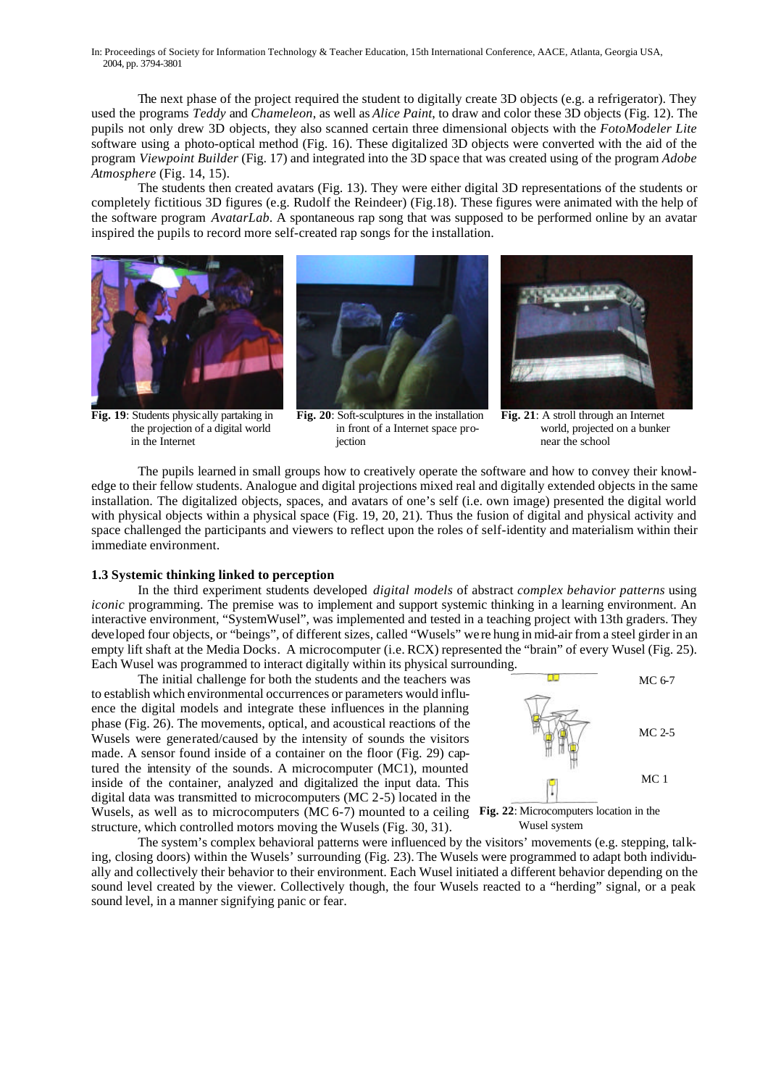The next phase of the project required the student to digitally create 3D objects (e.g. a refrigerator). They used the programs *Teddy* and *Chameleon*, as well as *Alice Paint*, to draw and color these 3D objects (Fig. 12). The pupils not only drew 3D objects, they also scanned certain three dimensional objects with the *FotoModeler Lite* software using a photo-optical method (Fig. 16). These digitalized 3D objects were converted with the aid of the program *Viewpoint Builder* (Fig. 17) and integrated into the 3D space that was created using of the program *Adobe Atmosphere* (Fig. 14, 15).

The students then created avatars (Fig. 13). They were either digital 3D representations of the students or completely fictitious 3D figures (e.g. Rudolf the Reindeer) (Fig.18). These figures were animated with the help of the software program *AvatarLab*. A spontaneous rap song that was supposed to be performed online by an avatar inspired the pupils to record more self-created rap songs for the installation.



**Fig. 19**: Students physically partaking in the projection of a digital world in the Internet







**Fig. 21**: A stroll through an Internet world, projected on a bunker near the school

The pupils learned in small groups how to creatively operate the software and how to convey their knowledge to their fellow students. Analogue and digital projections mixed real and digitally extended objects in the same installation. The digitalized objects, spaces, and avatars of one's self (i.e. own image) presented the digital world with physical objects within a physical space (Fig. 19, 20, 21). Thus the fusion of digital and physical activity and space challenged the participants and viewers to reflect upon the roles of self-identity and materialism within their immediate environment.

#### **1.3 Systemic thinking linked to perception**

In the third experiment students developed *digital models* of abstract *complex behavior patterns* using *iconic* programming. The premise was to implement and support systemic thinking in a learning environment. An interactive environment, "SystemWusel", was implemented and tested in a teaching project with 13th graders. They developed four objects, or "beings", of different sizes, called "Wusels" we re hung in mid-air from a steel girder in an empty lift shaft at the Media Docks. A microcomputer (i.e. RCX) represented the "brain" of every Wusel (Fig. 25). Each Wusel was programmed to interact digitally within its physical surrounding.

The initial challenge for both the students and the teachers was to establish which environmental occurrences or parameters would influence the digital models and integrate these influences in the planning phase (Fig. 26). The movements, optical, and acoustical reactions of the Wusels were generated/caused by the intensity of sounds the visitors made. A sensor found inside of a container on the floor (Fig. 29) captured the intensity of the sounds. A microcomputer (MC1), mounted inside of the container, analyzed and digitalized the input data. This digital data was transmitted to microcomputers (MC 2-5) located in the Wusels, as well as to microcomputers (MC 6-7) mounted to a ceiling **Fig. 22**: Microcomputers location in the structure, which controlled motors moving the Wusels (Fig. 30, 31).



Wusel system

The system's complex behavioral patterns were influenced by the visitors' movements (e.g. stepping, talking, closing doors) within the Wusels' surrounding (Fig. 23). The Wusels were programmed to adapt both individually and collectively their behavior to their environment. Each Wusel initiated a different behavior depending on the sound level created by the viewer. Collectively though, the four Wusels reacted to a "herding" signal, or a peak sound level, in a manner signifying panic or fear.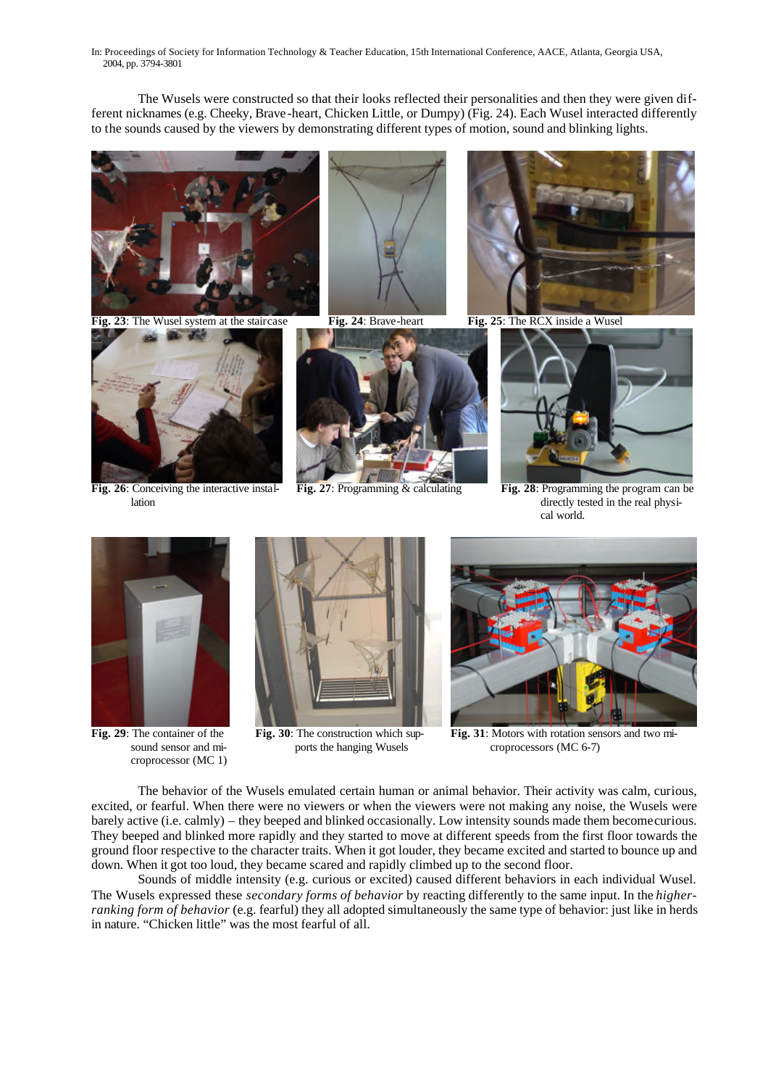The Wusels were constructed so that their looks reflected their personalities and then they were given different nicknames (e.g. Cheeky, Brave-heart, Chicken Little, or Dumpy) (Fig. 24). Each Wusel interacted differently to the sounds caused by the viewers by demonstrating different types of motion, sound and blinking lights.



**Fig. 23**: The Wusel system at the staircase **Fig. 24**: Brave-heart **Fig. 25**: The RCX inside a Wusel



**Fig. 26**: Conceiving the interactive installation









**Fig. 27**: Programming & calculating **Fig. 28**: Programming the program can be directly tested in the real physical world.



**Fig. 29**: The container of the sound sensor and microprocessor (MC 1)



**Fig. 30**: The construction which supports the hanging Wusels



**Fig. 31**: Motors with rotation sensors and two microprocessors (MC 6-7)

The behavior of the Wusels emulated certain human or animal behavior. Their activity was calm, curious, excited, or fearful. When there were no viewers or when the viewers were not making any noise, the Wusels were barely active (i.e. calmly) – they beeped and blinked occasionally. Low intensity sounds made them become curious. They beeped and blinked more rapidly and they started to move at different speeds from the first floor towards the ground floor respective to the character traits. When it got louder, they became excited and started to bounce up and down. When it got too loud, they became scared and rapidly climbed up to the second floor.

Sounds of middle intensity (e.g. curious or excited) caused different behaviors in each individual Wusel. The Wusels expressed these *secondary forms of behavior* by reacting differently to the same input. In the *higherranking form of behavior* (e.g. fearful) they all adopted simultaneously the same type of behavior: just like in herds in nature. "Chicken little" was the most fearful of all.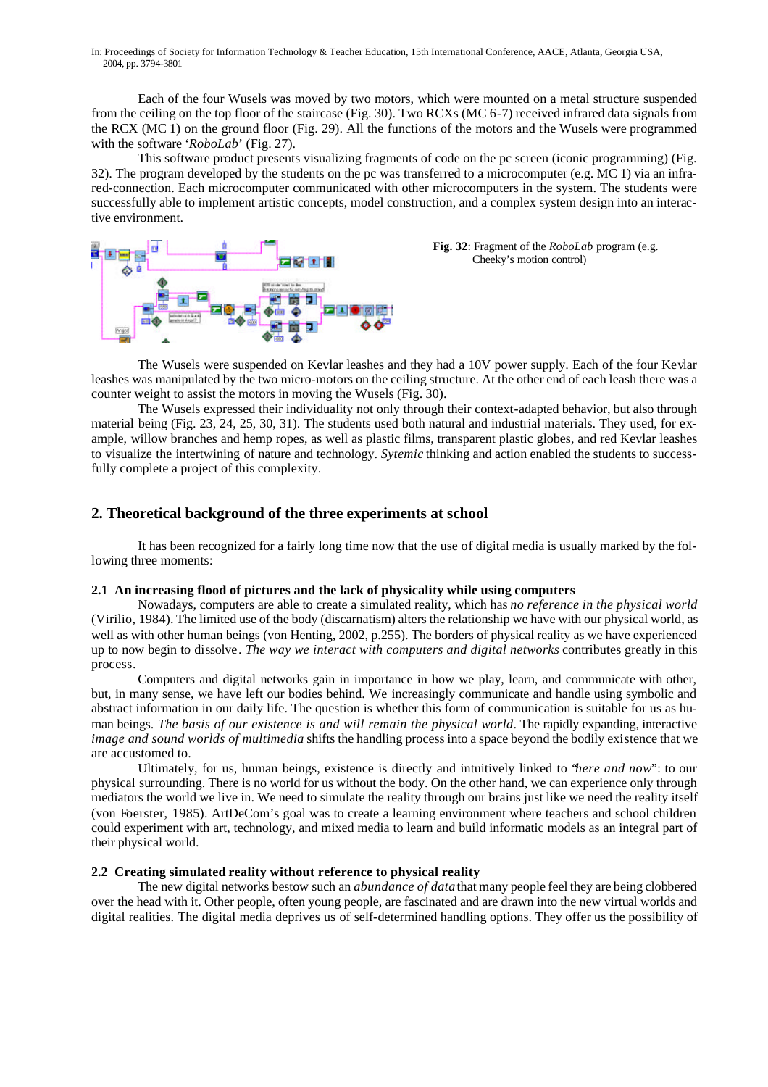Each of the four Wusels was moved by two motors, which were mounted on a metal structure suspended from the ceiling on the top floor of the staircase (Fig. 30). Two RCXs (MC 6-7) received infrared data signals from the RCX (MC 1) on the ground floor (Fig. 29). All the functions of the motors and the Wusels were programmed with the software '*RoboLab*' (Fig. 27).

This software product presents visualizing fragments of code on the pc screen (iconic programming) (Fig. 32). The program developed by the students on the pc was transferred to a microcomputer (e.g. MC 1) via an infrared-connection. Each microcomputer communicated with other microcomputers in the system. The students were successfully able to implement artistic concepts, model construction, and a complex system design into an interactive environment.



**Fig. 32**: Fragment of the *RoboLab* program (e.g. Cheeky's motion control)

The Wusels were suspended on Kevlar leashes and they had a 10V power supply. Each of the four Kevlar leashes was manipulated by the two micro-motors on the ceiling structure. At the other end of each leash there was a counter weight to assist the motors in moving the Wusels (Fig. 30).

The Wusels expressed their individuality not only through their context-adapted behavior, but also through material being (Fig. 23, 24, 25, 30, 31). The students used both natural and industrial materials. They used, for example, willow branches and hemp ropes, as well as plastic films, transparent plastic globes, and red Kevlar leashes to visualize the intertwining of nature and technology. *Sytemic* thinking and action enabled the students to successfully complete a project of this complexity.

## **2. Theoretical background of the three experiments at school**

It has been recognized for a fairly long time now that the use of digital media is usually marked by the following three moments:

## **2.1 An increasing flood of pictures and the lack of physicality while using computers**

Nowadays, computers are able to create a simulated reality, which has *no reference in the physical world*  (Virilio, 1984). The limited use of the body (discarnatism) alters the relationship we have with our physical world, as well as with other human beings (von Henting, 2002, p.255). The borders of physical reality as we have experienced up to now begin to dissolve. *The way we interact with computers and digital networks* contributes greatly in this process.

Computers and digital networks gain in importance in how we play, learn, and communicate with other, but, in many sense, we have left our bodies behind. We increasingly communicate and handle using symbolic and abstract information in our daily life. The question is whether this form of communication is suitable for us as human beings. *The basis of our existence is and will remain the physical world*. The rapidly expanding, interactive *image and sound worlds of multimedia* shifts the handling process into a space beyond the bodily existence that we are accustomed to.

Ultimately, for us, human beings, existence is directly and intuitively linked to "*here and now*": to our physical surrounding. There is no world for us without the body. On the other hand, we can experience only through mediators the world we live in. We need to simulate the reality through our brains just like we need the reality itself (von Foerster, 1985). ArtDeCom's goal was to create a learning environment where teachers and school children could experiment with art, technology, and mixed media to learn and build informatic models as an integral part of their physical world.

#### **2.2 Creating simulated reality without reference to physical reality**

The new digital networks bestow such an *abundance of data* that many people feel they are being clobbered over the head with it. Other people, often young people, are fascinated and are drawn into the new virtual worlds and digital realities. The digital media deprives us of self-determined handling options. They offer us the possibility of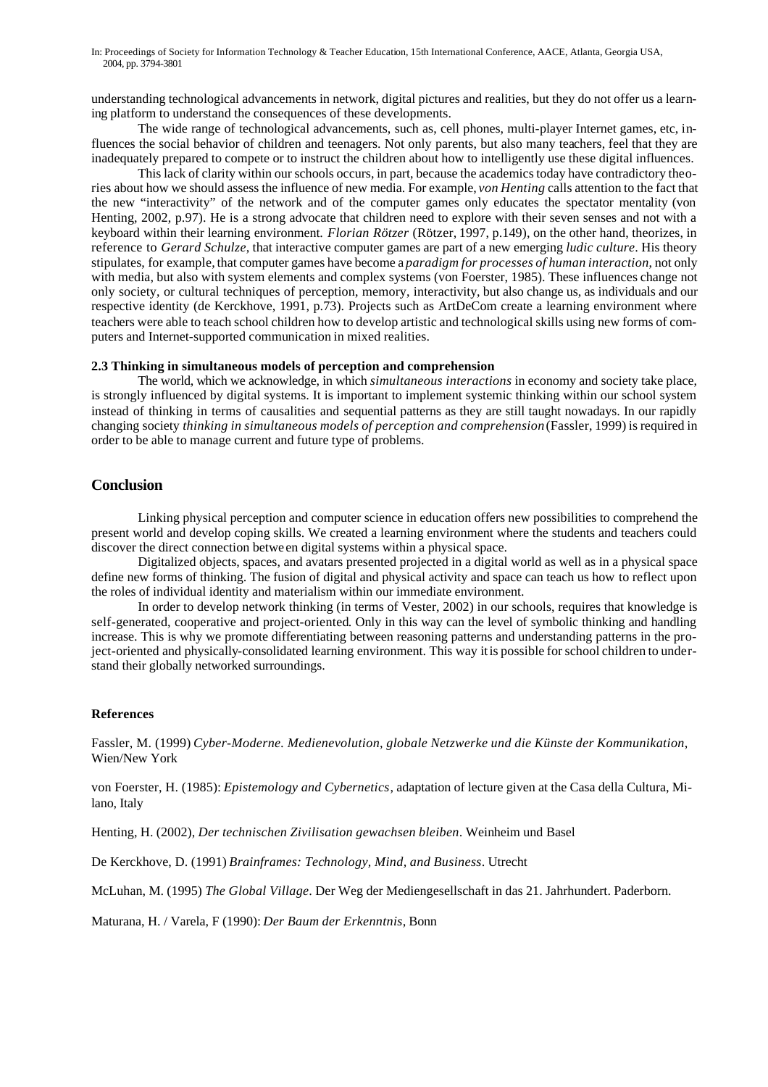understanding technological advancements in network, digital pictures and realities, but they do not offer us a learning platform to understand the consequences of these developments.

The wide range of technological advancements, such as, cell phones, multi-player Internet games, etc, influences the social behavior of children and teenagers. Not only parents, but also many teachers, feel that they are inadequately prepared to compete or to instruct the children about how to intelligently use these digital influences.

This lack of clarity within our schools occurs, in part, because the academics today have contradictory theories about how we should assess the influence of new media. For example, *von Henting* calls attention to the fact that the new "interactivity" of the network and of the computer games only educates the spectator mentality (von Henting, 2002, p.97). He is a strong advocate that children need to explore with their seven senses and not with a keyboard within their learning environment. *Florian Rötzer* (Rötzer, 1997, p.149), on the other hand, theorizes, in reference to *Gerard Schulze*, that interactive computer games are part of a new emerging *ludic culture*. His theory stipulates, for example, that computer games have become a *paradigm for processes of human interaction*, not only with media, but also with system elements and complex systems (von Foerster, 1985). These influences change not only society, or cultural techniques of perception, memory, interactivity, but also change us, as individuals and our respective identity (de Kerckhove, 1991, p.73). Projects such as ArtDeCom create a learning environment where teachers were able to teach school children how to develop artistic and technological skills using new forms of computers and Internet-supported communication in mixed realities.

## **2.3 Thinking in simultaneous models of perception and comprehension**

The world, which we acknowledge, in which *simultaneous interactions* in economy and society take place, is strongly influenced by digital systems. It is important to implement systemic thinking within our school system instead of thinking in terms of causalities and sequential patterns as they are still taught nowadays. In our rapidly changing society *thinking in simultaneous models of perception and comprehension* (Fassler, 1999) is required in order to be able to manage current and future type of problems.

# **Conclusion**

Linking physical perception and computer science in education offers new possibilities to comprehend the present world and develop coping skills. We created a learning environment where the students and teachers could discover the direct connection betwe en digital systems within a physical space.

Digitalized objects, spaces, and avatars presented projected in a digital world as well as in a physical space define new forms of thinking. The fusion of digital and physical activity and space can teach us how to reflect upon the roles of individual identity and materialism within our immediate environment.

In order to develop network thinking (in terms of Vester, 2002) in our schools, requires that knowledge is self-generated, cooperative and project-oriented. Only in this way can the level of symbolic thinking and handling increase. This is why we promote differentiating between reasoning patterns and understanding patterns in the project-oriented and physically-consolidated learning environment. This way it is possible for school children to understand their globally networked surroundings.

## **References**

Fassler, M. (1999) *Cyber-Moderne. Medienevolution, globale Netzwerke und die Künste der Kommunikation*, Wien/New York

von Foerster, H. (1985): *Epistemology and Cybernetics*, adaptation of lecture given at the Casa della Cultura, Milano, Italy

Henting, H. (2002), *Der technischen Zivilisation gewachsen bleiben*. Weinheim und Basel

De Kerckhove, D. (1991) *Brainframes: Technology, Mind, and Business*. Utrecht

McLuhan, M. (1995) *The Global Village*. Der Weg der Mediengesellschaft in das 21. Jahrhundert. Paderborn.

Maturana, H. / Varela, F (1990): *Der Baum der Erkenntnis*, Bonn